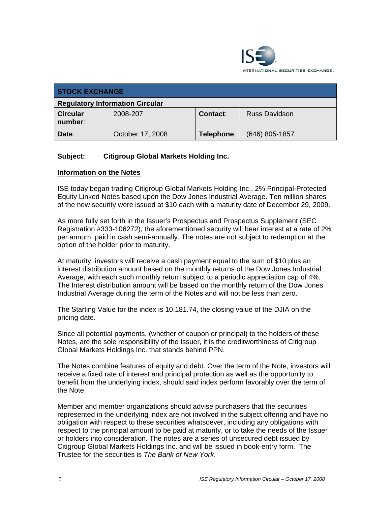

| <b>STOCK EXCHANGE</b>                  |                  |            |                      |  |
|----------------------------------------|------------------|------------|----------------------|--|
| <b>Regulatory Information Circular</b> |                  |            |                      |  |
| <b>Circular</b><br>number:             | 2008-207         | Contact:   | <b>Russ Davidson</b> |  |
| Date:                                  | October 17, 2008 | Telephone: | $(646)$ 805-1857     |  |

## **Subject: Citigroup Global Markets Holding Inc.**

## **Information on the Notes**

ISE today began trading Citigroup Global Markets Holding Inc., 2% Principal-Protected Equity Linked Notes based upon the Dow Jones Industrial Average. Ten million shares of the new security were issued at \$10 each with a maturity date of December 29, 2009.

As more fully set forth in the Issuer's Prospectus and Prospectus Supplement (SEC Registration #333-106272), the aforementioned security will bear interest at a rate of 2% per annum, paid in cash semi-annually. The notes are not subject to redemption at the option of the holder prior to maturity.

At maturity, investors will receive a cash payment equal to the sum of \$10 plus an interest distribution amount based on the monthly returns of the Dow Jones Industrial Average, with each such monthly return subject to a periodic appreciation cap of 4%. The Interest distribution amount will be based on the monthly return of the Dow Jones Industrial Average during the term of the Notes and will not be less than zero.

The Starting Value for the index is 10,181.74, the closing value of the DJIA on the pricing date.

Since all potential payments, (whether of coupon or principal) to the holders of these Notes, are the sole responsibility of the Issuer, it is the creditworthiness of Citigroup Global Markets Holdings Inc. that stands behind PPN.

The Notes combine features of equity and debt. Over the term of the Note, investors will receive a fixed rate of interest and principal protection as well as the opportunity to benefit from the underlying index, should said index perform favorably over the term of the Note.

Member and member organizations should advise purchasers that the securities represented in the underlying index are not involved in the subject offering and have no obligation with respect to these securities whatsoever, including any obligations with respect to the principal amount to be paid at maturity, or to take the needs of the Issuer or holders into consideration. The notes are a series of unsecured debt issued by Citigroup Global Markets Holdings Inc. and will be issued in book-entry form. The Trustee for the securities is *The Bank of New York*.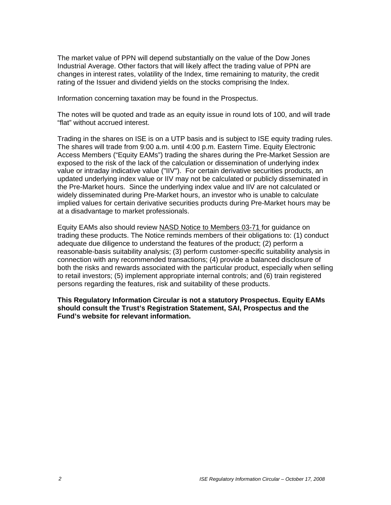The market value of PPN will depend substantially on the value of the Dow Jones Industrial Average. Other factors that will likely affect the trading value of PPN are changes in interest rates, volatility of the Index, time remaining to maturity, the credit rating of the Issuer and dividend yields on the stocks comprising the Index.

Information concerning taxation may be found in the Prospectus.

The notes will be quoted and trade as an equity issue in round lots of 100, and will trade "flat" without accrued interest.

Trading in the shares on ISE is on a UTP basis and is subject to ISE equity trading rules. The shares will trade from 9:00 a.m. until 4:00 p.m. Eastern Time. Equity Electronic Access Members ("Equity EAMs") trading the shares during the Pre-Market Session are exposed to the risk of the lack of the calculation or dissemination of underlying index value or intraday indicative value ("IIV"). For certain derivative securities products, an updated underlying index value or IIV may not be calculated or publicly disseminated in the Pre-Market hours. Since the underlying index value and IIV are not calculated or widely disseminated during Pre-Market hours, an investor who is unable to calculate implied values for certain derivative securities products during Pre-Market hours may be at a disadvantage to market professionals.

Equity EAMs also should review NASD Notice to Members 03-71 for guidance on trading these products. The Notice reminds members of their obligations to: (1) conduct adequate due diligence to understand the features of the product; (2) perform a reasonable-basis suitability analysis; (3) perform customer-specific suitability analysis in connection with any recommended transactions; (4) provide a balanced disclosure of both the risks and rewards associated with the particular product, especially when selling to retail investors; (5) implement appropriate internal controls; and (6) train registered persons regarding the features, risk and suitability of these products.

**This Regulatory Information Circular is not a statutory Prospectus. Equity EAMs should consult the Trust's Registration Statement, SAI, Prospectus and the Fund's website for relevant information.**